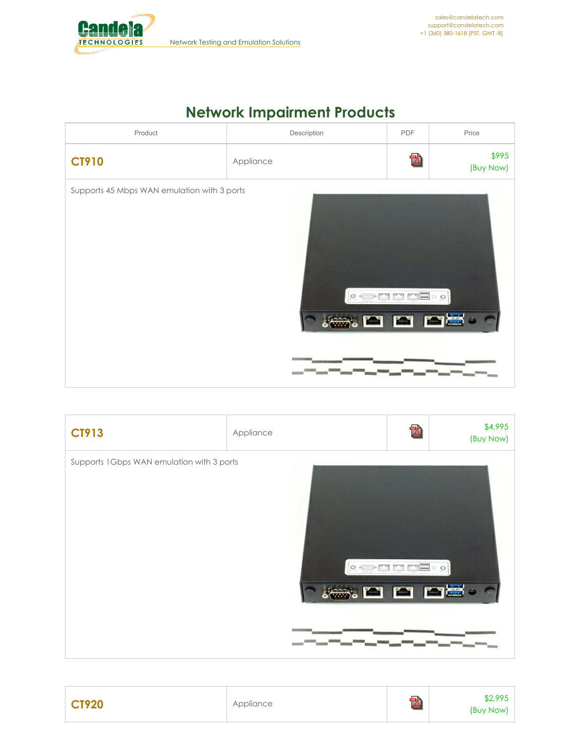

## **Network Impairment Products**



| <b>CT913</b>                              | Appliance | $\mathbb Z$                                                                                                                                                                                                                                                                                                                                                                                                                | \$4,995<br>(Buy Now) |
|-------------------------------------------|-----------|----------------------------------------------------------------------------------------------------------------------------------------------------------------------------------------------------------------------------------------------------------------------------------------------------------------------------------------------------------------------------------------------------------------------------|----------------------|
| Supports 1Gbps WAN emulation with 3 ports |           | $\circ \circ \text{PS} \circ \text{PS} \circ \text{SP}$<br>$\frac{1}{\sqrt{2}}\sum_{i=1}^n\frac{1}{\sqrt{2}}\sum_{i=1}^n\frac{1}{\sqrt{2}}\sum_{i=1}^n\frac{1}{\sqrt{2}}\sum_{i=1}^n\frac{1}{\sqrt{2}}\sum_{i=1}^n\frac{1}{\sqrt{2}}\sum_{i=1}^n\frac{1}{\sqrt{2}}\sum_{i=1}^n\frac{1}{\sqrt{2}}\sum_{i=1}^n\frac{1}{\sqrt{2}}\sum_{i=1}^n\frac{1}{\sqrt{2}}\sum_{i=1}^n\frac{1}{\sqrt{2}}\sum_{i=1}^n\frac{1}{\sqrt{2}}\$ |                      |

| <b>CT920</b> | Appliance | $\overline{\phantom{a}}$<br>- | \$2,995<br>(Buy Now) |  |
|--------------|-----------|-------------------------------|----------------------|--|
|--------------|-----------|-------------------------------|----------------------|--|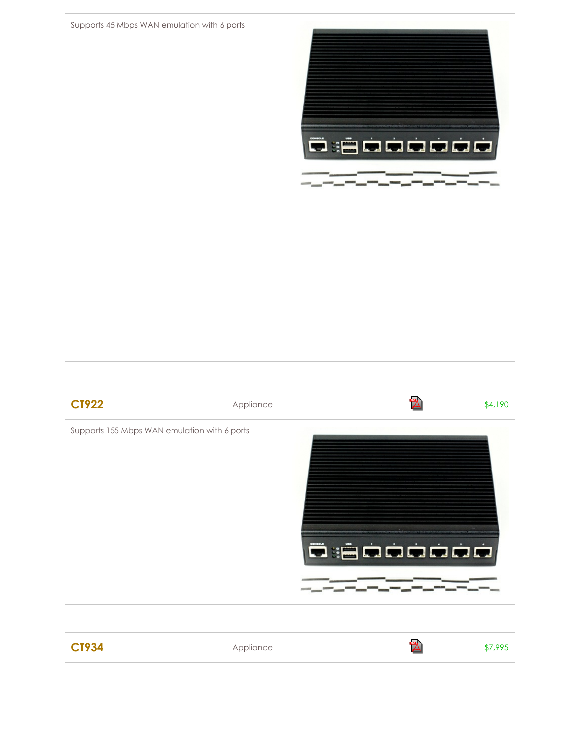



| <b>CT934</b> | Appliance | $\sqrt{ }$<br>$\blacktriangle$ | \$7,995 |
|--------------|-----------|--------------------------------|---------|
|--------------|-----------|--------------------------------|---------|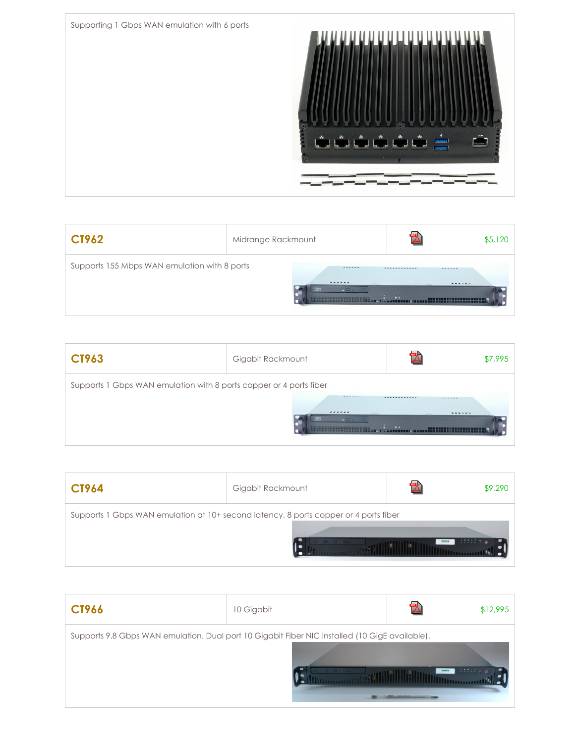![](_page_2_Picture_0.jpeg)

| <b>CT962</b>                                 | Midrange Rackmount                         |                             | \$5,120                 |
|----------------------------------------------|--------------------------------------------|-----------------------------|-------------------------|
| Supports 155 Mbps WAN emulation with 8 ports | -------<br>------<br>- Facilities<br>$  -$ | CONTRACTOR<br>$\rightarrow$ | ------<br><b>******</b> |

| CT963                                                              | Gigabit Rackmount                          | $\mathbb Z$                                        | \$7,995             |
|--------------------------------------------------------------------|--------------------------------------------|----------------------------------------------------|---------------------|
| Supports 1 Gbps WAN emulation with 8 ports copper or 4 ports fiber | ------<br><br>$  -$<br>0000000000000000000 | ------------<br><b>CALIFORNIA</b><br>$\rightarrow$ | ------<br>1.1.1.1.1 |

| <b>CT964</b> | Gigabit Rackmount                                                                    | $\mathbb{Z}$ | \$9,290 |
|--------------|--------------------------------------------------------------------------------------|--------------|---------|
|              | Supports 1 Gbps WAN emulation at 10+ second latency, 8 ports copper or 4 ports fiber |              |         |

| <b>CT966</b> | 10 Gigabit                                                                                                   | $\mathbb Z$               | \$12,995                               |
|--------------|--------------------------------------------------------------------------------------------------------------|---------------------------|----------------------------------------|
|              | Supports 9.8 Gbps WAN emulation. Dual port 10 Gigabit Fiber NIC installed (10 GigE available).<br>$\sqrt{2}$ | <b>JIGUE - AANWERKERS</b> | $144227$ $\overline{2}$ $\overline{6}$ |